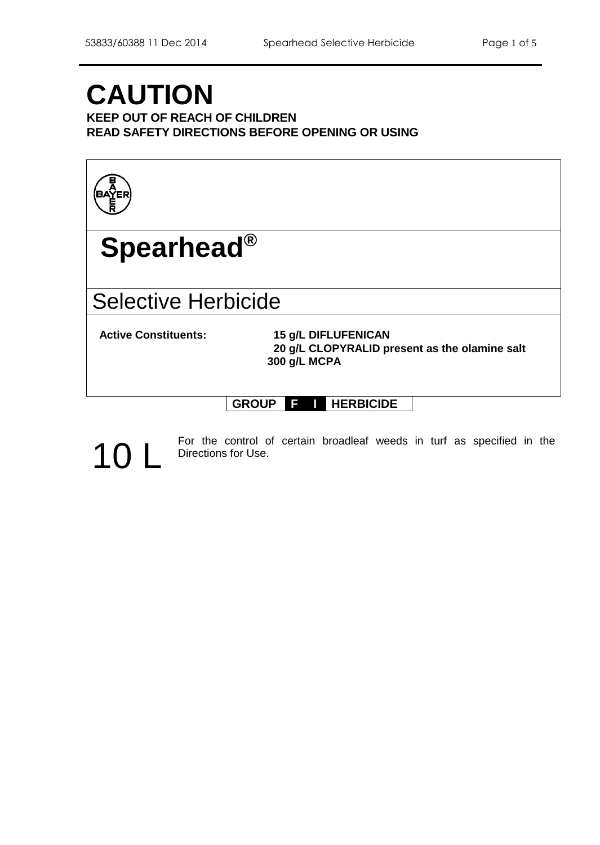# **CAUTION**

**KEEP OUT OF REACH OF CHILDREN READ SAFETY DIRECTIONS BEFORE OPENING OR USING**



## **Spearhead®**

### Selective Herbicide

**Active Constituents: 15 g/L DIFLUFENICAN 20 g/L CLOPYRALID present as the olamine salt 300 g/L MCPA**

### **GROUP F I HERBICIDE**

For the control of certain broadleaf weeds in turf as specified in the Directions for Use. Directions for Use.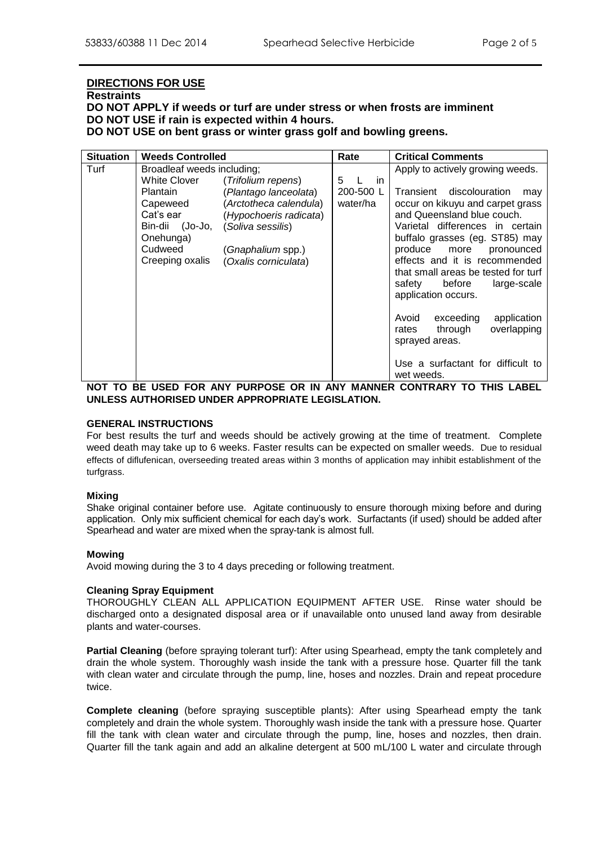#### **DIRECTIONS FOR USE**

#### **Restraints**

**DO NOT APPLY if weeds or turf are under stress or when frosts are imminent DO NOT USE if rain is expected within 4 hours.**

**DO NOT USE on bent grass or winter grass golf and bowling greens.**

| <b>Situation</b> | <b>Weeds Controlled</b>    |                        | Rate      | <b>Critical Comments</b>            |
|------------------|----------------------------|------------------------|-----------|-------------------------------------|
| Turf             | Broadleaf weeds including; |                        |           | Apply to actively growing weeds.    |
|                  | <b>White Clover</b>        | (Trifolium repens)     | 5<br>in   |                                     |
|                  | <b>Plantain</b>            | (Plantago lanceolata)  | 200-500 L | Transient discolouration<br>may     |
|                  | Capeweed                   | (Arctotheca calendula) | water/ha  | occur on kikuyu and carpet grass    |
|                  | Cat's ear                  | (Hypochoeris radicata) |           | and Queensland blue couch.          |
|                  | Bin-dii (Jo-Jo,            | (Soliva sessilis)      |           | Varietal differences in certain     |
|                  | Onehunga)                  |                        |           | buffalo grasses (eg. ST85) may      |
|                  | Cudweed                    | (Gnaphalium spp.)      |           | produce<br>more<br>pronounced       |
|                  | Creeping oxalis            | (Oxalis corniculata)   |           | effects and it is recommended       |
|                  |                            |                        |           | that small areas be tested for turf |
|                  |                            |                        |           | safety<br>before<br>large-scale     |
|                  |                            |                        |           | application occurs.                 |
|                  |                            |                        |           | Avoid<br>exceeding<br>application   |
|                  |                            |                        |           | through<br>overlapping<br>rates     |
|                  |                            |                        |           | sprayed areas.                      |
|                  |                            |                        |           |                                     |
|                  |                            |                        |           | Use a surfactant for difficult to   |
|                  |                            |                        |           | wet weeds.                          |

**NOT TO BE USED FOR ANY PURPOSE OR IN ANY MANNER CONTRARY TO THIS LABEL UNLESS AUTHORISED UNDER APPROPRIATE LEGISLATION.**

#### **GENERAL INSTRUCTIONS**

For best results the turf and weeds should be actively growing at the time of treatment. Complete weed death may take up to 6 weeks. Faster results can be expected on smaller weeds. Due to residual effects of diflufenican, overseeding treated areas within 3 months of application may inhibit establishment of the turfgrass.

#### **Mixing**

Shake original container before use. Agitate continuously to ensure thorough mixing before and during application. Only mix sufficient chemical for each day's work. Surfactants (if used) should be added after Spearhead and water are mixed when the spray-tank is almost full.

#### **Mowing**

Avoid mowing during the 3 to 4 days preceding or following treatment.

#### **Cleaning Spray Equipment**

THOROUGHLY CLEAN ALL APPLICATION EQUIPMENT AFTER USE. Rinse water should be discharged onto a designated disposal area or if unavailable onto unused land away from desirable plants and water-courses.

**Partial Cleaning** (before spraying tolerant turf): After using Spearhead, empty the tank completely and drain the whole system. Thoroughly wash inside the tank with a pressure hose. Quarter fill the tank with clean water and circulate through the pump, line, hoses and nozzles. Drain and repeat procedure twice.

**Complete cleaning** (before spraying susceptible plants): After using Spearhead empty the tank completely and drain the whole system. Thoroughly wash inside the tank with a pressure hose. Quarter fill the tank with clean water and circulate through the pump, line, hoses and nozzles, then drain. Quarter fill the tank again and add an alkaline detergent at 500 mL/100 L water and circulate through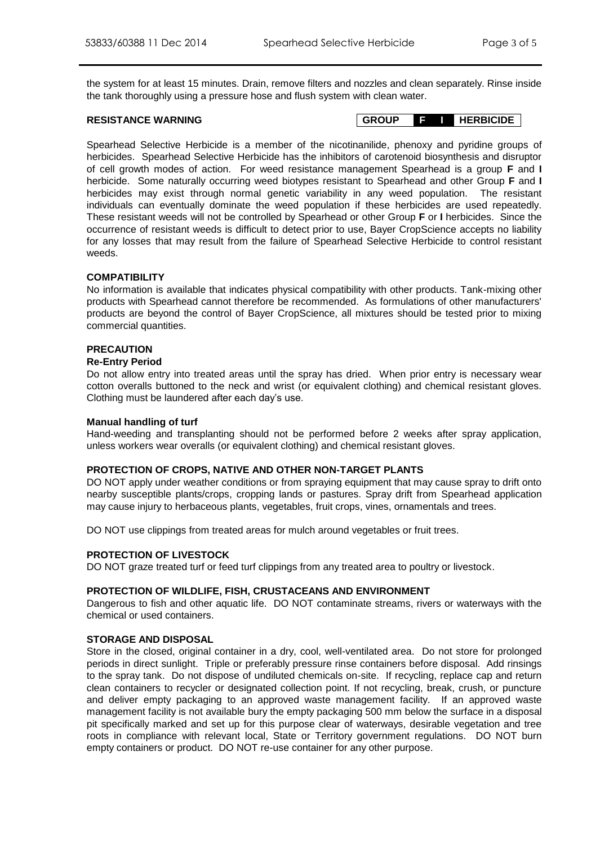the system for at least 15 minutes. Drain, remove filters and nozzles and clean separately. Rinse inside the tank thoroughly using a pressure hose and flush system with clean water.

**RESISTANCE WARNING GROUP F I HERBICIDE**

Spearhead Selective Herbicide is a member of the nicotinanilide, phenoxy and pyridine groups of herbicides. Spearhead Selective Herbicide has the inhibitors of carotenoid biosynthesis and disruptor of cell growth modes of action. For weed resistance management Spearhead is a group **F** and **I** herbicide. Some naturally occurring weed biotypes resistant to Spearhead and other Group **F** and **I** herbicides may exist through normal genetic variability in any weed population. The resistant individuals can eventually dominate the weed population if these herbicides are used repeatedly. These resistant weeds will not be controlled by Spearhead or other Group **F** or **I** herbicides. Since the occurrence of resistant weeds is difficult to detect prior to use, Bayer CropScience accepts no liability for any losses that may result from the failure of Spearhead Selective Herbicide to control resistant weeds.

#### **COMPATIBILITY**

No information is available that indicates physical compatibility with other products. Tank-mixing other products with Spearhead cannot therefore be recommended. As formulations of other manufacturers' products are beyond the control of Bayer CropScience, all mixtures should be tested prior to mixing commercial quantities.

#### **PRECAUTION**

#### **Re-Entry Period**

Do not allow entry into treated areas until the spray has dried. When prior entry is necessary wear cotton overalls buttoned to the neck and wrist (or equivalent clothing) and chemical resistant gloves. Clothing must be laundered after each day's use.

#### **Manual handling of turf**

Hand-weeding and transplanting should not be performed before 2 weeks after spray application, unless workers wear overalls (or equivalent clothing) and chemical resistant gloves.

#### **PROTECTION OF CROPS, NATIVE AND OTHER NON-TARGET PLANTS**

DO NOT apply under weather conditions or from spraying equipment that may cause spray to drift onto nearby susceptible plants/crops, cropping lands or pastures. Spray drift from Spearhead application may cause injury to herbaceous plants, vegetables, fruit crops, vines, ornamentals and trees.

DO NOT use clippings from treated areas for mulch around vegetables or fruit trees.

#### **PROTECTION OF LIVESTOCK**

DO NOT graze treated turf or feed turf clippings from any treated area to poultry or livestock.

#### **PROTECTION OF WILDLIFE, FISH, CRUSTACEANS AND ENVIRONMENT**

Dangerous to fish and other aquatic life. DO NOT contaminate streams, rivers or waterways with the chemical or used containers.

#### **STORAGE AND DISPOSAL**

Store in the closed, original container in a dry, cool, well-ventilated area. Do not store for prolonged periods in direct sunlight. Triple or preferably pressure rinse containers before disposal. Add rinsings to the spray tank. Do not dispose of undiluted chemicals on-site. If recycling, replace cap and return clean containers to recycler or designated collection point. If not recycling, break, crush, or puncture and deliver empty packaging to an approved waste management facility. If an approved waste management facility is not available bury the empty packaging 500 mm below the surface in a disposal pit specifically marked and set up for this purpose clear of waterways, desirable vegetation and tree roots in compliance with relevant local, State or Territory government regulations. DO NOT burn empty containers or product. DO NOT re-use container for any other purpose.